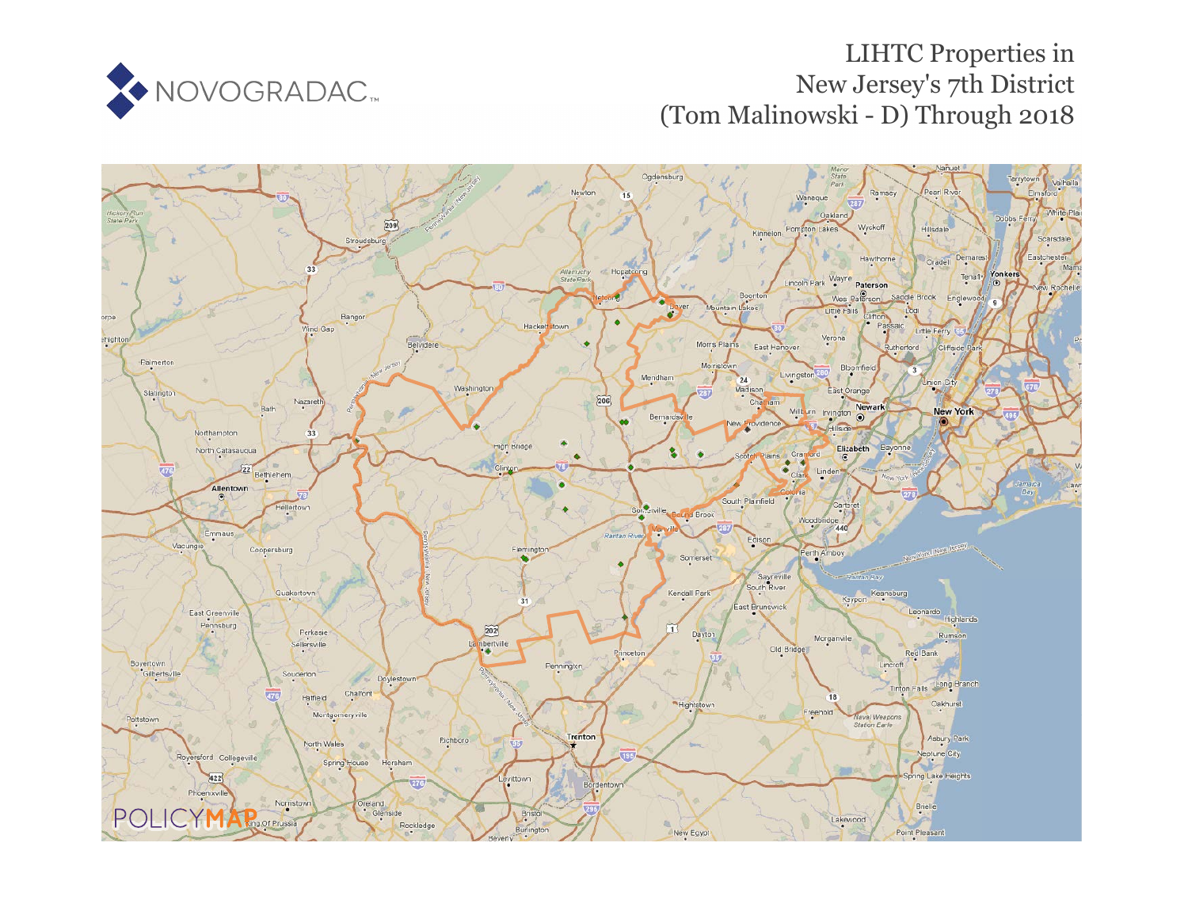

# LIHTC Properties in New Jersey's 7th District (Tom Malinowski - D) Through 2018

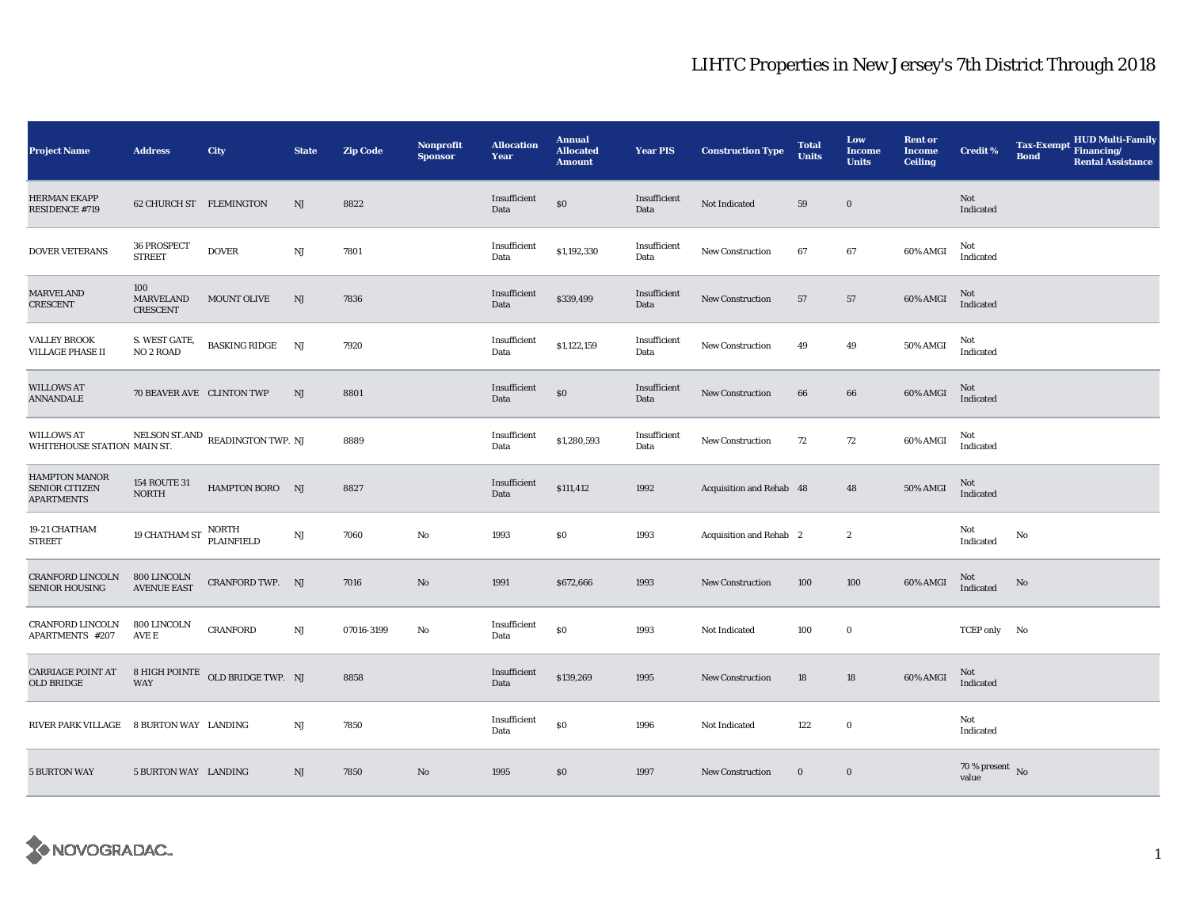| <b>Project Name</b>                                         | <b>Address</b>                             | <b>City</b>                      | <b>State</b>           | <b>Zip Code</b> | <b>Nonprofit</b><br><b>Sponsor</b> | <b>Allocation</b><br>Year | <b>Annual</b><br><b>Allocated</b><br><b>Amount</b> | Year PIS             | <b>Construction Type</b> | <b>Total</b><br><b>Units</b> | Low<br><b>Income</b><br><b>Units</b> | <b>Rent or</b><br><b>Income</b><br><b>Ceiling</b> | <b>Credit %</b>                | <b>Tax-Exempt</b><br><b>Bond</b> | <b>HUD Multi-Family</b><br>Financing/<br><b>Rental Assistance</b> |
|-------------------------------------------------------------|--------------------------------------------|----------------------------------|------------------------|-----------------|------------------------------------|---------------------------|----------------------------------------------------|----------------------|--------------------------|------------------------------|--------------------------------------|---------------------------------------------------|--------------------------------|----------------------------------|-------------------------------------------------------------------|
| <b>HERMAN EKAPP</b><br>RESIDENCE #719                       | 62 CHURCH ST FLEMINGTON                    |                                  | NJ                     | 8822            |                                    | Insufficient<br>Data      | \$0                                                | Insufficient<br>Data | Not Indicated            | 59                           | $\bf{0}$                             |                                                   | Not<br>Indicated               |                                  |                                                                   |
| DOVER VETERANS                                              | 36 PROSPECT<br><b>STREET</b>               | <b>DOVER</b>                     | $\rm{NJ}$              | 7801            |                                    | Insufficient<br>Data      | \$1,192,330                                        | Insufficient<br>Data | New Construction         | 67                           | 67                                   | 60% AMGI                                          | Not<br>Indicated               |                                  |                                                                   |
| <b>MARVELAND</b><br>CRESCENT                                | 100<br><b>MARVELAND</b><br><b>CRESCENT</b> | MOUNT OLIVE                      | NJ                     | 7836            |                                    | Insufficient<br>Data      | \$339,499                                          | Insufficient<br>Data | New Construction         | 57                           | 57                                   | 60% AMGI                                          | Not<br>Indicated               |                                  |                                                                   |
| <b>VALLEY BROOK</b><br><b>VILLAGE PHASE II</b>              | S. WEST GATE,<br>NO <sub>2</sub> ROAD      | <b>BASKING RIDGE</b>             | NJ                     | 7920            |                                    | Insufficient<br>Data      | \$1,122,159                                        | Insufficient<br>Data | New Construction         | 49                           | 49                                   | 50% AMGI                                          | Not<br>Indicated               |                                  |                                                                   |
| <b>WILLOWS AT</b><br><b>ANNANDALE</b>                       | 70 BEAVER AVE CLINTON TWP                  |                                  | NJ                     | 8801            |                                    | Insufficient<br>Data      | \$0                                                | Insufficient<br>Data | <b>New Construction</b>  | 66                           | 66                                   | 60% AMGI                                          | Not<br>Indicated               |                                  |                                                                   |
| <b>WILLOWS AT</b><br>WHITEHOUSE STATION MAIN ST.            |                                            | NELSON ST.AND READINGTON TWP. NJ |                        | 8889            |                                    | Insufficient<br>Data      | \$1,280,593                                        | Insufficient<br>Data | <b>New Construction</b>  | 72                           | $72\,$                               | 60% AMGI                                          | Not<br>Indicated               |                                  |                                                                   |
| HAMPTON MANOR<br><b>SENIOR CITIZEN</b><br><b>APARTMENTS</b> | <b>154 ROUTE 31</b><br><b>NORTH</b>        | HAMPTON BORO NJ                  |                        | 8827            |                                    | Insufficient<br>Data      | \$111,412                                          | 1992                 | Acquisition and Rehab 48 |                              | 48                                   | 50% AMGI                                          | Not<br>Indicated               |                                  |                                                                   |
| 19-21 CHATHAM<br><b>STREET</b>                              | 19 CHATHAM ST                              | NORTH<br>PLAINFIELD              | $\mathbf{N}\mathbf{J}$ | 7060            | No                                 | 1993                      | $\$0$                                              | 1993                 | Acquisition and Rehab 2  |                              | $\boldsymbol{2}$                     |                                                   | Not<br>Indicated               | No                               |                                                                   |
| <b>CRANFORD LINCOLN</b><br><b>SENIOR HOUSING</b>            | 800 LINCOLN<br><b>AVENUE EAST</b>          | CRANFORD TWP. NJ                 |                        | 7016            | No                                 | 1991                      | \$672,666                                          | 1993                 | New Construction         | 100                          | 100                                  | 60% AMGI                                          | Not<br>Indicated               | No                               |                                                                   |
| <b>CRANFORD LINCOLN</b><br>APARTMENTS #207                  | 800 LINCOLN<br>AVE E                       | <b>CRANFORD</b>                  | $\mathbf{N}\mathbf{J}$ | 07016-3199      | No                                 | Insufficient<br>Data      | \$0                                                | 1993                 | Not Indicated            | 100                          | $\bf{0}$                             |                                                   | TCEP only No                   |                                  |                                                                   |
| <b>CARRIAGE POINT AT</b><br>OLD BRIDGE                      | <b>WAY</b>                                 | 8 HIGH POINTE OLD BRIDGE TWP. NJ |                        | 8858            |                                    | Insufficient<br>Data      | \$139,269                                          | 1995                 | <b>New Construction</b>  | 18                           | 18                                   | 60% AMGI                                          | Not<br>Indicated               |                                  |                                                                   |
| RIVER PARK VILLAGE 8 BURTON WAY LANDING                     |                                            |                                  | NJ                     | 7850            |                                    | Insufficient<br>Data      | \$0                                                | 1996                 | Not Indicated            | 122                          | $\bf{0}$                             |                                                   | Not<br>Indicated               |                                  |                                                                   |
| <b>5 BURTON WAY</b>                                         | 5 BURTON WAY LANDING                       |                                  | NJ                     | 7850            | No                                 | 1995                      | \$0                                                | 1997                 | <b>New Construction</b>  | $\bf{0}$                     | $\bf{0}$                             |                                                   | $70\,\%$ present $\,$ No value |                                  |                                                                   |

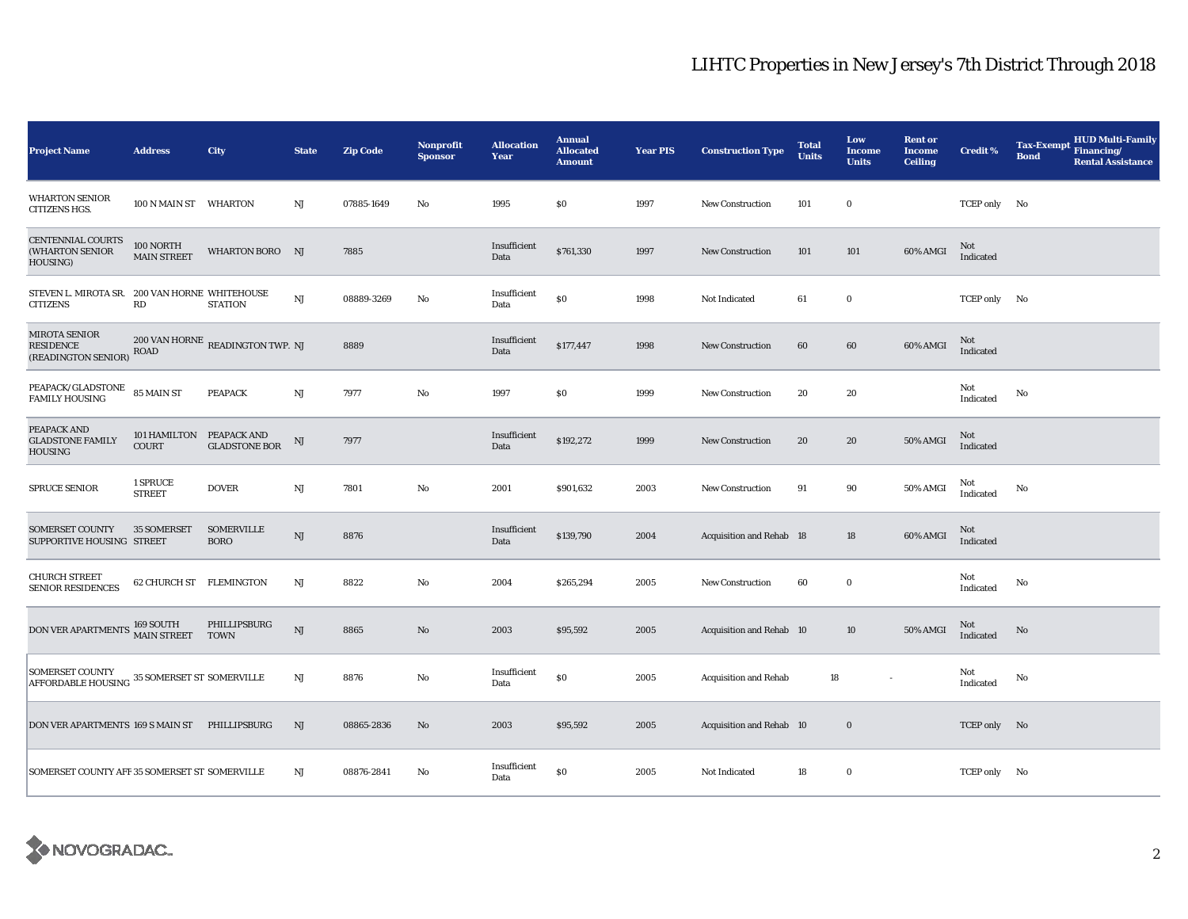| <b>Project Name</b>                                             | <b>Address</b>                           | City                                    | <b>State</b>           | <b>Zip Code</b> | Nonprofit<br><b>Sponsor</b> | <b>Allocation</b><br>Year | <b>Annual</b><br><b>Allocated</b><br><b>Amount</b> | <b>Year PIS</b> | <b>Construction Type</b>        | <b>Total</b><br><b>Units</b> | Low<br><b>Income</b><br><b>Units</b> | <b>Rent or</b><br><b>Income</b><br><b>Ceiling</b> | <b>Credit %</b>  | <b>HUD Multi-Family</b><br>Tax-Exempt Financing/<br><b>Bond</b><br><b>Rental Assistance</b> |
|-----------------------------------------------------------------|------------------------------------------|-----------------------------------------|------------------------|-----------------|-----------------------------|---------------------------|----------------------------------------------------|-----------------|---------------------------------|------------------------------|--------------------------------------|---------------------------------------------------|------------------|---------------------------------------------------------------------------------------------|
| <b>WHARTON SENIOR</b><br>CITIZENS HGS.                          | 100 N MAIN ST WHARTON                    |                                         | NJ                     | 07885-1649      | No                          | 1995                      | \$0                                                | 1997            | <b>New Construction</b>         | 101                          | $\bf{0}$                             |                                                   | TCEP only No     |                                                                                             |
| CENTENNIAL COURTS<br>(WHARTON SENIOR<br>HOUSING)                | 100 NORTH<br><b>MAIN STREET</b>          | WHARTON BORO NJ                         |                        | 7885            |                             | Insufficient<br>Data      | \$761,330                                          | 1997            | <b>New Construction</b>         | 101                          | 101                                  | 60% AMGI                                          | Not<br>Indicated |                                                                                             |
| STEVEN L. MIROTA SR. 200 VAN HORNE WHITEHOUSE<br>CITIZENS       | RD                                       | <b>STATION</b>                          | $\rm{NJ}$              | 08889-3269      | No                          | Insufficient<br>Data      | \$0                                                | 1998            | Not Indicated                   | 61                           | $\bf{0}$                             |                                                   | TCEP only No     |                                                                                             |
| MIROTA SENIOR<br><b>RESIDENCE</b><br>(READINGTON SENIOR)        | $\rm{ROAD}$                              | $200$ VAN HORNE $\,$ READINGTON TWP. NJ |                        | 8889            |                             | Insufficient<br>Data      | \$177,447                                          | 1998            | <b>New Construction</b>         | 60                           | 60                                   | 60% AMGI                                          | Not<br>Indicated |                                                                                             |
| PEAPACK/GLADSTONE<br><b>FAMILY HOUSING</b>                      | 85 MAIN ST                               | <b>PEAPACK</b>                          | NJ                     | 7977            | No                          | 1997                      | \$0                                                | 1999            | <b>New Construction</b>         | 20                           | 20                                   |                                                   | Not<br>Indicated | No                                                                                          |
| PEAPACK AND<br><b>GLADSTONE FAMILY</b><br>HOUSING               | 101 HAMILTON PEAPACK AND<br><b>COURT</b> | <b>GLADSTONE BOR</b>                    | NJ                     | 7977            |                             | Insufficient<br>Data      | \$192,272                                          | 1999            | <b>New Construction</b>         | 20                           | 20                                   | 50% AMGI                                          | Not<br>Indicated |                                                                                             |
| SPRUCE SENIOR                                                   | 1 SPRUCE<br><b>STREET</b>                | <b>DOVER</b>                            | $_{\rm NJ}$            | 7801            | No                          | 2001                      | \$901,632                                          | 2003            | <b>New Construction</b>         | 91                           | 90                                   | 50% AMGI                                          | Not<br>Indicated | No                                                                                          |
| <b>SOMERSET COUNTY</b><br>SUPPORTIVE HOUSING STREET             | <b>35 SOMERSET</b>                       | <b>SOMERVILLE</b><br><b>BORO</b>        | $\rm{NJ}$              | 8876            |                             | Insufficient<br>Data      | \$139,790                                          | 2004            | <b>Acquisition and Rehab</b> 18 |                              | 18                                   | 60% AMGI                                          | Not<br>Indicated |                                                                                             |
| <b>CHURCH STREET</b><br><b>SENIOR RESIDENCES</b>                | 62 CHURCH ST FLEMINGTON                  |                                         | $_{\rm NJ}$            | 8822            | No                          | 2004                      | \$265,294                                          | 2005            | <b>New Construction</b>         | 60                           | $\bf{0}$                             |                                                   | Not<br>Indicated | No                                                                                          |
| DON VER APARTMENTS 169 SOUTH MAIN STREET                        |                                          | PHILLIPSBURG<br><b>TOWN</b>             | NJ                     | 8865            | No                          | 2003                      | \$95,592                                           | 2005            | Acquisition and Rehab 10        |                              | 10                                   | 50% AMGI                                          | Not<br>Indicated | No                                                                                          |
| SOMERSET COUNTY<br>AFFORDABLE HOUSING 35 SOMERSET ST SOMERVILLE |                                          |                                         | $\mathbf{N}\mathbf{J}$ | 8876            | No                          | Insufficient<br>Data      | \$0                                                | 2005            | <b>Acquisition and Rehab</b>    | 18                           |                                      |                                                   | Not<br>Indicated | $\mathbf{N}\mathbf{o}$                                                                      |
| DON VER APARTMENTS 169 S MAIN ST                                |                                          | PHILLIPSBURG                            | $_{\rm NJ}$            | 08865-2836      | No                          | 2003                      | \$95,592                                           | 2005            | Acquisition and Rehab 10        |                              | $\mathbf 0$                          |                                                   | TCEP only No     |                                                                                             |
| SOMERSET COUNTY AFF 35 SOMERSET ST SOMERVILLE                   |                                          |                                         | $_{\rm NJ}$            | 08876-2841      | No                          | Insufficient<br>Data      | $\$0$                                              | 2005            | Not Indicated                   | 18                           | $\bf{0}$                             |                                                   | TCEP only No     |                                                                                             |

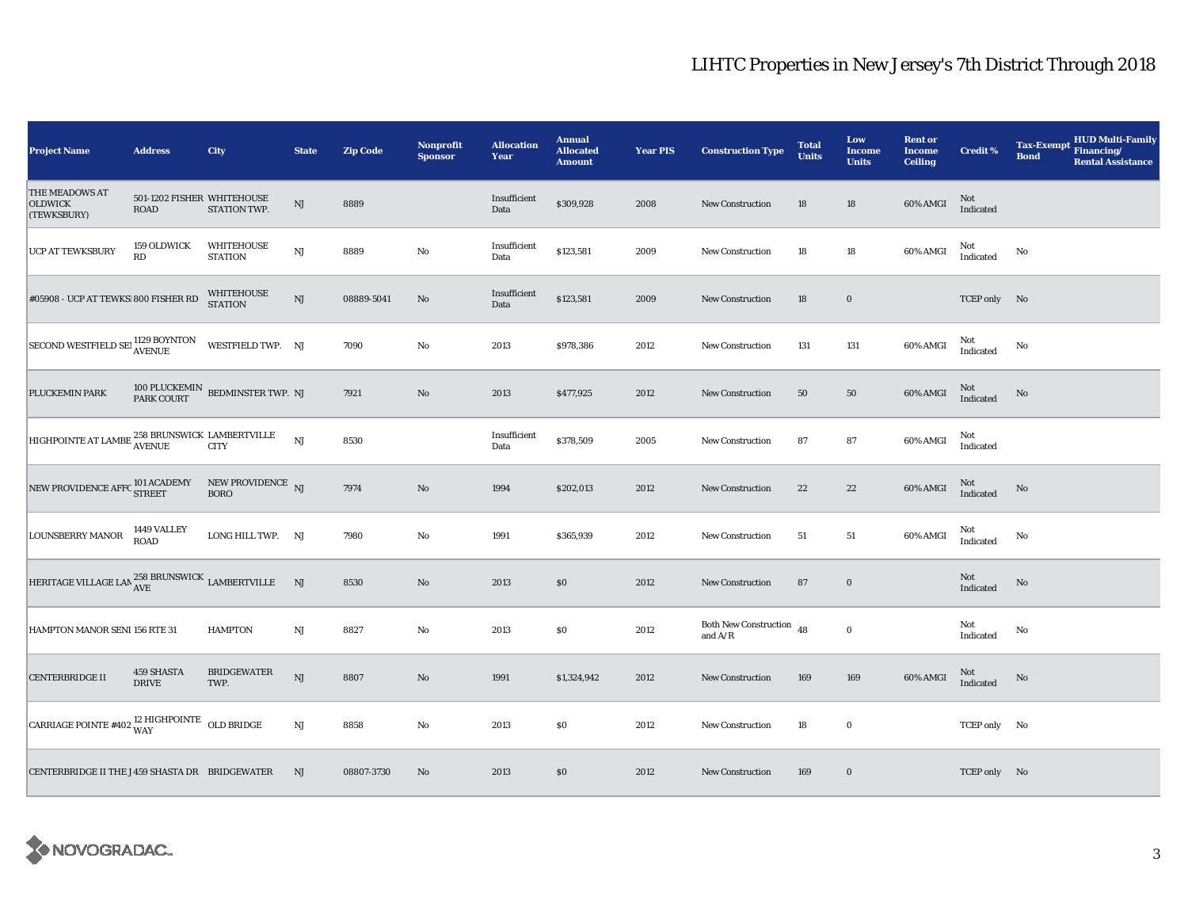| <b>Project Name</b>                                                           | <b>Address</b>                     | City                                               | <b>State</b> | Zip Code   | Nonprofit<br><b>Sponsor</b> | <b>Allocation</b><br>Year | <b>Annual</b><br><b>Allocated</b><br><b>Amount</b> | <b>Year PIS</b> | <b>Construction Type</b>                | <b>Total</b><br><b>Units</b> | Low<br><b>Income</b><br><b>Units</b> | <b>Rent or</b><br><b>Income</b><br><b>Ceiling</b> | <b>Credit %</b>                                   | <b>HUD Multi-Family</b><br><b>Tax-Exempt</b><br>Financing/<br><b>Bond</b><br><b>Rental Assistance</b> |
|-------------------------------------------------------------------------------|------------------------------------|----------------------------------------------------|--------------|------------|-----------------------------|---------------------------|----------------------------------------------------|-----------------|-----------------------------------------|------------------------------|--------------------------------------|---------------------------------------------------|---------------------------------------------------|-------------------------------------------------------------------------------------------------------|
| THE MEADOWS AT<br><b>OLDWICK</b><br>(TEWKSBURY)                               | 501-1202 FISHER WHITEHOUSE<br>ROAD | STATION TWP.                                       | $_{\rm NJ}$  | 8889       |                             | Insufficient<br>Data      | \$309,928                                          | 2008            | <b>New Construction</b>                 | 18                           | 18                                   | 60% AMGI                                          | Not<br>Indicated                                  |                                                                                                       |
| UCP AT TEWKSBURY                                                              | 159 OLDWICK<br>RD                  | <b>WHITEHOUSE</b><br><b>STATION</b>                | $\rm{NJ}$    | 8889       | No                          | Insufficient<br>Data      | \$123,581                                          | 2009            | <b>New Construction</b>                 | 18                           | 18                                   | 60% AMGI                                          | Not<br>$\label{thm:indicated} \textbf{Indicated}$ | No                                                                                                    |
| #05908 - UCP AT TEWKS 800 FISHER RD                                           |                                    | WHITEHOUSE<br><b>STATION</b>                       | $_{\rm NJ}$  | 08889-5041 | No                          | Insufficient<br>Data      | \$123,581                                          | 2009            | New Construction                        | 18                           | $\bf{0}$                             |                                                   | TCEP only No                                      |                                                                                                       |
| SECOND WESTFIELD SET 1129 BOYNTON                                             |                                    | WESTFIELD TWP. NJ                                  |              | 7090       | $\rm No$                    | 2013                      | \$978,386                                          | 2012            | New Construction                        | 131                          | 131                                  | 60% AMGI                                          | Not<br>Indicated                                  | No                                                                                                    |
| PLUCKEMIN PARK                                                                |                                    | $100$ PLUCKEMIN $\,$ BEDMINSTER TWP. NJ PARK COURT |              | 7921       | $\rm No$                    | 2013                      | \$477,925                                          | 2012            | <b>New Construction</b>                 | 50                           | 50                                   | 60% AMGI                                          | Not<br>Indicated                                  | No                                                                                                    |
| HIGHPOINTE AT LAMBE <sup>258</sup> BRUNSWICK LAMBERTVILLE                     |                                    |                                                    | NJ           | 8530       |                             | Insufficient<br>Data      | \$378,509                                          | 2005            | <b>New Construction</b>                 | 87                           | 87                                   | 60% AMGI                                          | Not<br>Indicated                                  |                                                                                                       |
| NEW PROVIDENCE AFFC $^{101}$ ACADEMY NEW PROVIDENCE $_{\rm NJ}$ $_{\rm BORO}$ |                                    |                                                    |              | 7974       | $\rm No$                    | 1994                      | \$202,013                                          | 2012            | <b>New Construction</b>                 | 22                           | $\bf{22}$                            | 60% AMGI                                          | $\rm Not$ Indicated                               | No                                                                                                    |
| <b>LOUNSBERRY MANOR</b>                                                       | 1449 VALLEY<br>ROAD                | LONG HILL TWP. NJ                                  |              | 7980       | No                          | 1991                      | \$365,939                                          | 2012            | <b>New Construction</b>                 | 51                           | 51                                   | 60% AMGI                                          | Not<br>Indicated                                  | No                                                                                                    |
| HERITAGE VILLAGE LAN $^{258}_{\rm AVE}$ ERUNSWICK LAMBERTVILLE                |                                    |                                                    | NJ           | 8530       | No                          | 2013                      | S <sub>0</sub>                                     | 2012            | New Construction                        | 87                           | $\mathbf 0$                          |                                                   | Not<br>Indicated                                  | No                                                                                                    |
| HAMPTON MANOR SENI 156 RTE 31                                                 |                                    | <b>HAMPTON</b>                                     | $_{\rm NJ}$  | 8827       | No                          | 2013                      | \$0                                                | 2012            | Both New Construction $48$<br>and $A/R$ |                              | $\mathbf 0$                          |                                                   | Not<br>Indicated                                  | No                                                                                                    |
| <b>CENTERBRIDGE II</b>                                                        | 459 SHASTA<br><b>DRIVE</b>         | <b>BRIDGEWATER</b><br>TWP.                         | $\rm{NJ}$    | 8807       | No                          | 1991                      | \$1,324,942                                        | 2012            | <b>New Construction</b>                 | 169                          | 169                                  | 60% AMGI                                          | $\rm Not$ Indicated                               | No                                                                                                    |
| CARRIAGE POINTE #402 $^{12}$ HIGHPOINTE OLD BRIDGE                            |                                    |                                                    | $\rm{NJ}$    | 8858       | No                          | 2013                      | $\$0$                                              | 2012            | <b>New Construction</b>                 | 18                           | $\mathbf 0$                          |                                                   | TCEP only No                                      |                                                                                                       |
| CENTERBRIDGE II THE J 459 SHASTA DR BRIDGEWATER                               |                                    |                                                    | NJ           | 08807-3730 | No                          | 2013                      | \$0                                                | 2012            | <b>New Construction</b>                 | 169                          | $\bf{0}$                             |                                                   | TCEP only No                                      |                                                                                                       |

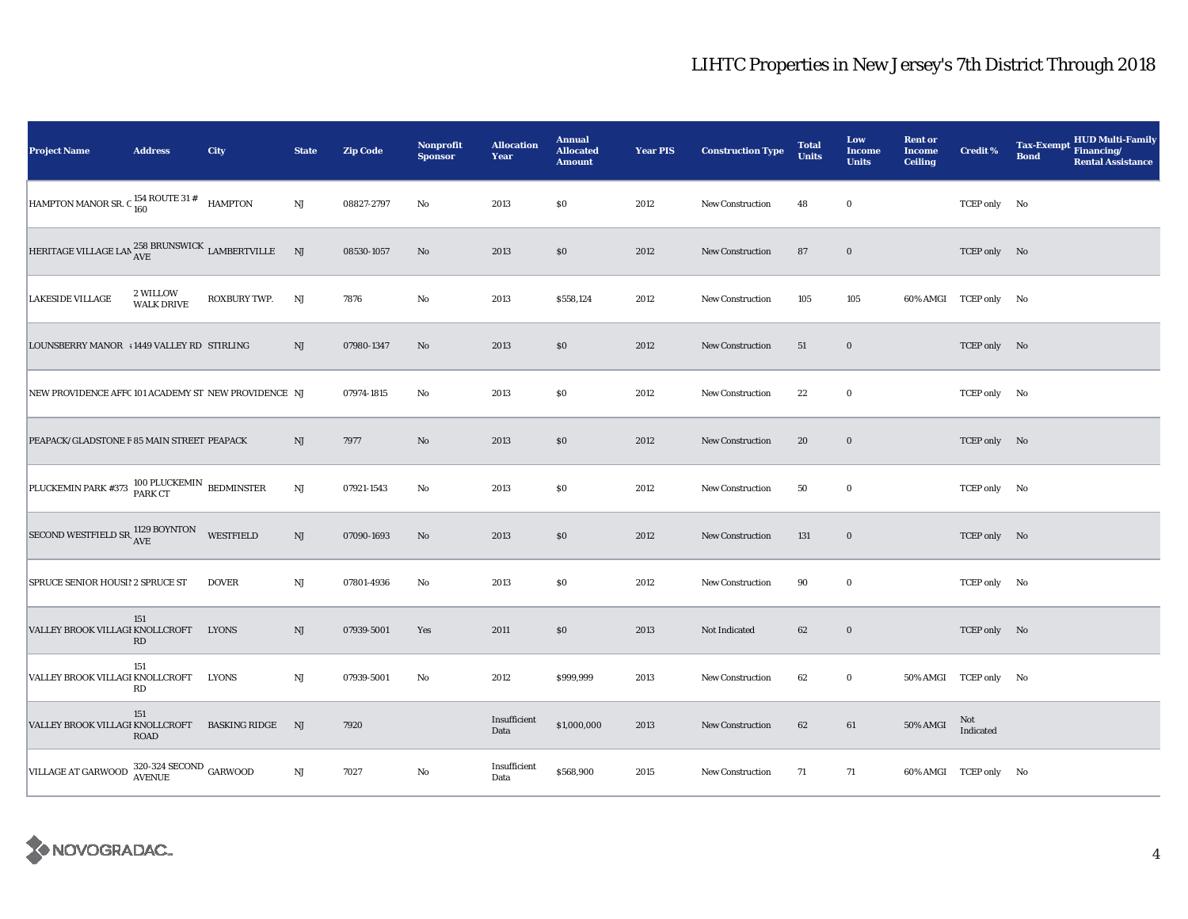| <b>Project Name</b>                                                       | <b>Address</b>                | City                    | <b>State</b>           | <b>Zip Code</b> | <b>Nonprofit</b><br><b>Sponsor</b> | <b>Allocation</b><br>Year | <b>Annual</b><br><b>Allocated</b><br><b>Amount</b> | <b>Year PIS</b> | <b>Construction Type</b> | <b>Total</b><br><b>Units</b> | Low<br><b>Income</b><br><b>Units</b> | <b>Rent or</b><br><b>Income</b><br><b>Ceiling</b> | <b>Credit %</b>       | <b>HUD Multi-Family</b><br><b>Tax-Exempt</b><br>Financing/<br><b>Bond</b><br><b>Rental Assistance</b> |
|---------------------------------------------------------------------------|-------------------------------|-------------------------|------------------------|-----------------|------------------------------------|---------------------------|----------------------------------------------------|-----------------|--------------------------|------------------------------|--------------------------------------|---------------------------------------------------|-----------------------|-------------------------------------------------------------------------------------------------------|
| HAMPTON MANOR SR. C $_{160}^{154}$ ROUTE 31 #                             |                               | <b>HAMPTON</b>          | $\mathbf{N}\mathbf{J}$ | 08827-2797      | No                                 | 2013                      | \$0                                                | 2012            | <b>New Construction</b>  | 48                           | $\bf{0}$                             |                                                   | TCEP only No          |                                                                                                       |
| HERITAGE VILLAGE LAN $^{258}_{\rm AVE}$ ERUNSWICK LAMBERTVILLE            |                               |                         | NJ                     | 08530-1057      | No                                 | 2013                      | \$0                                                | 2012            | <b>New Construction</b>  | 87                           | $\bf{0}$                             |                                                   | TCEP only No          |                                                                                                       |
| <b>LAKESIDE VILLAGE</b>                                                   | 2 WILLOW<br><b>WALK DRIVE</b> | ROXBURY TWP.            | NJ                     | 7876            | No                                 | 2013                      | \$558,124                                          | 2012            | New Construction         | 105                          | 105                                  |                                                   | 60% AMGI TCEP only No |                                                                                                       |
| LOUNSBERRY MANOR +1449 VALLEY RD STIRLING                                 |                               |                         | NJ                     | 07980-1347      | $\rm No$                           | 2013                      | \$0                                                | 2012            | New Construction         | 51                           | $\bf{0}$                             |                                                   | TCEP only No          |                                                                                                       |
| NEW PROVIDENCE AFFC 101 ACADEMY ST NEW PROVIDENCE NJ                      |                               |                         |                        | 07974-1815      | No                                 | 2013                      | <b>SO</b>                                          | 2012            | <b>New Construction</b>  | 22                           | $\bf{0}$                             |                                                   | TCEP only No          |                                                                                                       |
| PEAPACK/GLADSTONE F 85 MAIN STREET PEAPACK                                |                               |                         | NJ                     | 7977            | No                                 | 2013                      | \$0                                                | 2012            | <b>New Construction</b>  | 20                           | $\bf{0}$                             |                                                   | TCEP only No          |                                                                                                       |
| PLUCKEMIN PARK #373 100 PLUCKEMIN BEDMINSTER                              |                               |                         | $\mathbf{N}\mathbf{J}$ | 07921-1543      | No                                 | 2013                      | \$0                                                | 2012            | <b>New Construction</b>  | 50                           | $\bf{0}$                             |                                                   | TCEP only No          |                                                                                                       |
| SECOND WESTFIELD SR 1129 BOYNTON                                          |                               | WESTFIELD               | $\mathbf{N}\mathbf{J}$ | 07090-1693      | No                                 | 2013                      | $\$0$                                              | 2012            | <b>New Construction</b>  | 131                          | $\bf{0}$                             |                                                   | TCEP only No          |                                                                                                       |
| SPRUCE SENIOR HOUSI! 2 SPRUCE ST                                          |                               | <b>DOVER</b>            | $_{\rm NJ}$            | 07801-4936      | No                                 | 2013                      | \$0                                                | 2012            | New Construction         | 90                           | $\bf{0}$                             |                                                   | TCEP only No          |                                                                                                       |
| VALLEY BROOK VILLAGI KNOLLCROFT                                           | 151<br><b>RD</b>              | <b>LYONS</b>            | NJ                     | 07939-5001      | Yes                                | 2011                      | \$0                                                | 2013            | Not Indicated            | 62                           | $\mathbf 0$                          |                                                   | TCEP only No          |                                                                                                       |
| VALLEY BROOK VILLAGI KNOLLCROFT                                           | 151<br>RD                     | <b>LYONS</b>            | $\mathbf{N}\mathbf{J}$ | 07939-5001      | No                                 | 2012                      | \$999,999                                          | 2013            | New Construction         | 62                           | $\boldsymbol{0}$                     |                                                   | 50% AMGI TCEP only No |                                                                                                       |
| VALLEY BROOK VILLAGI KNOLLCROFT                                           | 151<br><b>ROAD</b>            | <b>BASKING RIDGE NJ</b> |                        | 7920            |                                    | Insufficient<br>Data      | \$1,000,000                                        | 2013            | New Construction         | 62                           | 61                                   | 50% AMGI                                          | Not<br>Indicated      |                                                                                                       |
| VILLAGE AT GARWOOD $\frac{320-324 \text{ SECOND}}{\text{AVENUE}}$ GARWOOD |                               |                         | $\rm{NJ}$              | 7027            | No                                 | Insufficient<br>Data      | \$568,900                                          | 2015            | New Construction         | 71                           | 71                                   |                                                   | 60% AMGI TCEP only No |                                                                                                       |